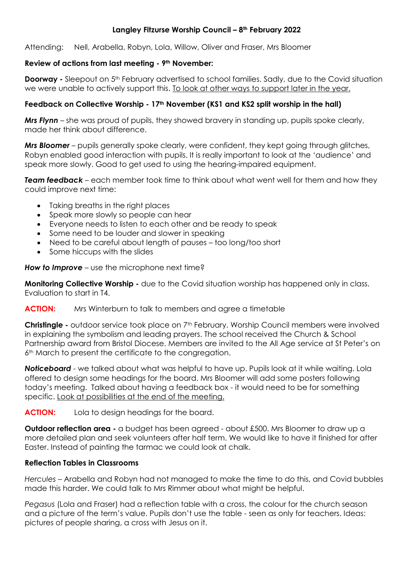#### **Langley Fitzurse Worship Council – 8th February 2022**

Attending: Nell, Arabella, Robyn, Lola, Willow, Oliver and Fraser, Mrs Bloomer

#### **Review of actions from last meeting - 9th November:**

**Doorway -** Sleepout on 5th February advertised to school families. Sadly, due to the Covid situation we were unable to actively support this. To look at other ways to support later in the year.

#### **Feedback on Collective Worship - 17th November (KS1 and KS2 split worship in the hall)**

*Mrs Flynn* – she was proud of pupils, they showed bravery in standing up, pupils spoke clearly, made her think about difference.

*Mrs Bloomer* – pupils generally spoke clearly, were confident, they kept going through glitches, Robyn enabled good interaction with pupils. It is really important to look at the 'audience' and speak more slowly. Good to get used to using the hearing-impaired equipment.

*Team feedback* – each member took time to think about what went well for them and how they could improve next time:

- Taking breaths in the right places
- Speak more slowly so people can hear
- Everyone needs to listen to each other and be ready to speak
- Some need to be louder and slower in speaking
- Need to be careful about length of pauses too long/too short
- Some hiccups with the slides

*How to Improve* – use the microphone next time?

**Monitoring Collective Worship -** due to the Covid situation worship has happened only in class. Evaluation to start in T4.

#### **ACTION:** Mrs Winterburn to talk to members and agree a timetable

**Christingle -** outdoor service took place on 7<sup>th</sup> February. Worship Council members were involved in explaining the symbolism and leading prayers. The school received the Church & School Partnership award from Bristol Diocese. Members are invited to the All Age service at St Peter's on 6<sup>th</sup> March to present the certificate to the congregation.

*Noticeboard* - we talked about what was helpful to have up. Pupils look at it while waiting. Lola offered to design some headings for the board. Mrs Bloomer will add some posters following today's meeting. Talked about having a feedback box - it would need to be for something specific. Look at possibilities at the end of the meeting.

**ACTION:** Lola to design headings for the board.

**Outdoor reflection area** - a budget has been agreed - about £500. Mrs Bloomer to draw up a more detailed plan and seek volunteers after half term. We would like to have it finished for after Easter. Instead of painting the tarmac we could look at chalk.

# **Reflection Tables in Classrooms**

*Hercules* – Arabella and Robyn had not managed to make the time to do this, and Covid bubbles made this harder. We could talk to Mrs Rimmer about what might be helpful.

*Pegasus* (Lola and Fraser) had a reflection table with a cross, the colour for the church season and a picture of the term's value. Pupils don't use the table - seen as only for teachers. Ideas: pictures of people sharing, a cross with Jesus on it.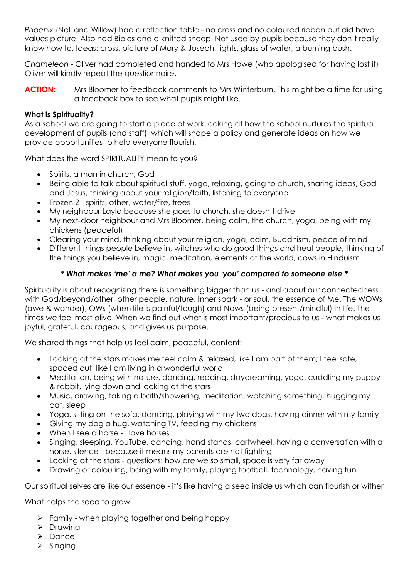*Phoenix* (Nell and Willow) had a reflection table - no cross and no coloured ribbon but did have values picture. Also had Bibles and a knitted sheep. Not used by pupils because they don't really know how to. Ideas: cross, picture of Mary & Joseph, lights, glass of water, a burning bush.

*Chameleon* - Oliver had completed and handed to Mrs Howe (who apologised for having lost it) Oliver will kindly repeat the questionnaire.

**ACTION:** Mrs Bloomer to feedback comments to Mrs Winterburn. This might be a time for using a feedback box to see what pupils might like.

# **What is Spirituality?**

As a school we are going to start a piece of work looking at how the school nurtures the spiritual development of pupils (and staff), which will shape a policy and generate ideas on how we provide opportunities to help everyone flourish.

What does the word SPIRITUALITY mean to you?

- Spirits, a man in church, God
- Being able to talk about spiritual stuff, yoga, relaxing, going to church, sharing ideas, God and Jesus, thinking about your religion/faith, listening to everyone
- Frozen 2 spirits, other, water/fire, trees
- My neighbour Layla because she goes to church, she doesn't drive
- My next-door neighbour and Mrs Bloomer, being calm, the church, yoga, being with my chickens (peaceful)
- Clearing your mind, thinking about your religion, yoga, calm, Buddhism, peace of mind
- Different things people believe in, witches who do good things and heal people, thinking of the things you believe in, magic, meditation, elements of the world, cows in Hinduism

# *\* What makes 'me' a me? What makes you 'you' compared to someone else \**

Spirituality is about recognising there is something bigger than us - and about our connectedness with God/beyond/other, other people, nature. Inner spark - or soul, the essence of Me. The WOWs (awe & wonder), OWs (when life is painful/tough) and Nows (being present/mindful) in life. The times we feel most alive. When we find out what is most important/precious to us - what makes us joyful, grateful, courageous, and gives us purpose.

We shared things that help us feel calm, peaceful, content:

- Looking at the stars makes me feel calm & relaxed, like I am part of them; I feel safe, spaced out, like I am living in a wonderful world
- Meditation, being with nature, dancing, reading, daydreaming, yoga, cuddling my puppy & rabbit, lying down and looking at the stars
- Music, drawing, taking a bath/showering, meditation, watching something, hugging my cat, sleep
- Yoga, sitting on the sofa, dancing, playing with my two dogs, having dinner with my family
- Giving my dog a hug, watching TV, feeding my chickens
- When I see a horse I love horses
- Singing, sleeping, YouTube, dancing, hand stands, cartwheel, having a conversation with a horse, silence - because it means my parents are not fighting
- Looking at the stars questions: how are we so small, space is very far away
- Drawing or colouring, being with my family, playing football, technology, having fun

Our spiritual selves are like our essence - it's like having a seed inside us which can flourish or wither

What helps the seed to grow:

- $\triangleright$  Family when playing together and being happy
- $\triangleright$  Drawing
- > Dance
- $\triangleright$  Singing